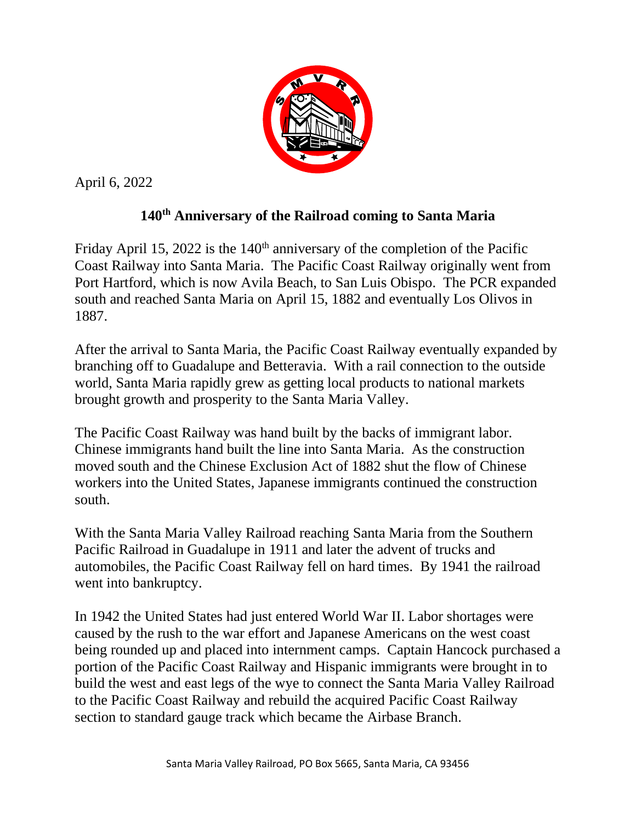

April 6, 2022

## **140th Anniversary of the Railroad coming to Santa Maria**

Friday April 15, 2022 is the  $140<sup>th</sup>$  anniversary of the completion of the Pacific Coast Railway into Santa Maria. The Pacific Coast Railway originally went from Port Hartford, which is now Avila Beach, to San Luis Obispo. The PCR expanded south and reached Santa Maria on April 15, 1882 and eventually Los Olivos in 1887.

After the arrival to Santa Maria, the Pacific Coast Railway eventually expanded by branching off to Guadalupe and Betteravia. With a rail connection to the outside world, Santa Maria rapidly grew as getting local products to national markets brought growth and prosperity to the Santa Maria Valley.

The Pacific Coast Railway was hand built by the backs of immigrant labor. Chinese immigrants hand built the line into Santa Maria. As the construction moved south and the Chinese Exclusion Act of 1882 shut the flow of Chinese workers into the United States, Japanese immigrants continued the construction south.

With the Santa Maria Valley Railroad reaching Santa Maria from the Southern Pacific Railroad in Guadalupe in 1911 and later the advent of trucks and automobiles, the Pacific Coast Railway fell on hard times. By 1941 the railroad went into bankruptcy.

In 1942 the United States had just entered World War II. Labor shortages were caused by the rush to the war effort and Japanese Americans on the west coast being rounded up and placed into internment camps. Captain Hancock purchased a portion of the Pacific Coast Railway and Hispanic immigrants were brought in to build the west and east legs of the wye to connect the Santa Maria Valley Railroad to the Pacific Coast Railway and rebuild the acquired Pacific Coast Railway section to standard gauge track which became the Airbase Branch.